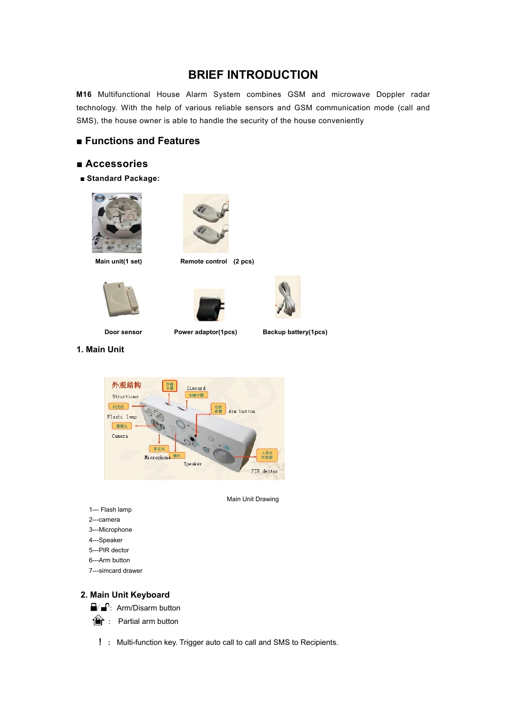# **BRIEF INTRODUCTION**

**M16** Multifunctional House Alarm System combines GSM and microwave Doppler radar technology. With the help of various reliable sensors and GSM communication mode (call and SMS), the house owner is able to handle the security of the house conveniently

## **■ Functions and Features**

### **■ Accessories**

■ **Standard Package:** 





**Main unit(1 set) Remote control (2 pcs)** 



**1. Main Unit** 





Door sensor **Power adaptor(1pcs)** Backup battery(1pcs)



Main Unit Drawing

- 1--- Flash lamp
- 2---camera
- 3---Microphone
- 4---Speaker
- 5---PIR dector
- 6---Arm button
- 7---simcard drawer

## **2. Main Unit Keyboard**



 $\hat{=}$ : Partial arm button

! **:** Multi-function key. Trigger auto call to call and SMS to Recipients.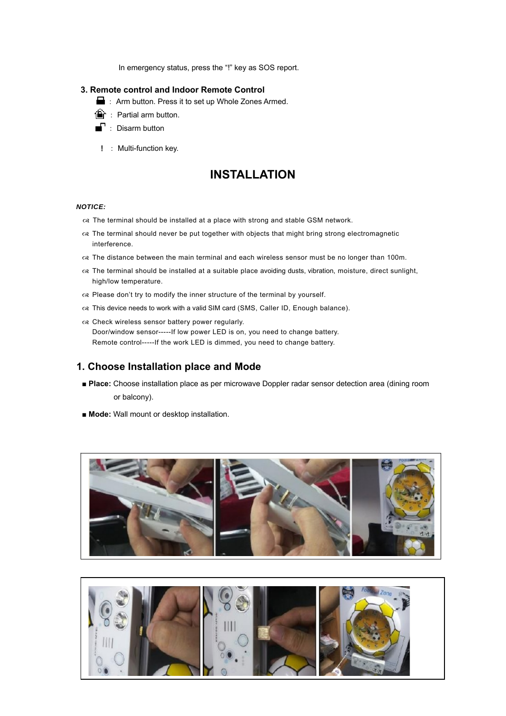In emergency status, press the "!" key as SOS report.

#### **3. Remote control and Indoor Remote Control**

- : Arm button. Press it to set up Whole Zones Armed.
- $\mathbf{\widehat{m}}$  : Partial arm button.
	- : Disarm button
- ! : Multi-function key.

# **INSTALLATION**

#### *NOTICE:*

- $\alpha$  The terminal should be installed at a place with strong and stable GSM network.
- $\alpha$  The terminal should never be put together with objects that might bring strong electromagnetic interference.
- $\alpha$  The distance between the main terminal and each wireless sensor must be no longer than 100m.
- $\alpha$  The terminal should be installed at a suitable place avoiding dusts, vibration, moisture, direct sunlight, high/low temperature.
- $\alpha$  Please don't try to modify the inner structure of the terminal by yourself.
- $\alpha$  This device needs to work with a valid SIM card (SMS, Caller ID, Enough balance).
- $\alpha$  Check wireless sensor battery power regularly. Door/window sensor-----If low power LED is on, you need to change battery. Remote control-----If the work LED is dimmed, you need to change battery.

## **1. Choose Installation place and Mode**

- **Place:** Choose installation place as per microwave Doppler radar sensor detection area (dining room or balcony).
- **Mode:** Wall mount or desktop installation.